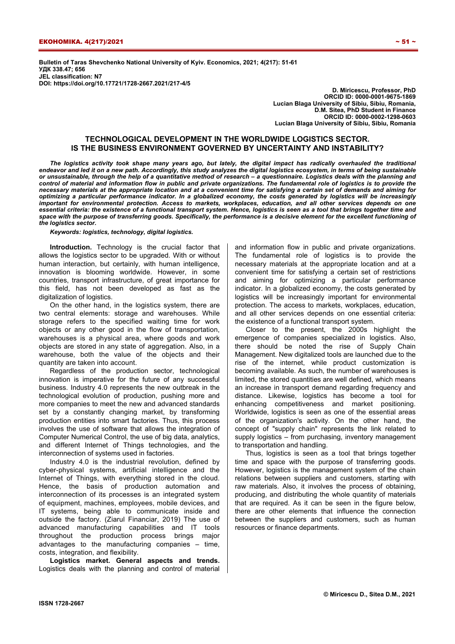**Bulletin of Taras Shevchenko National University of Kyiv. Economics, 2021; 4(217): 51-61 УДК 338.47; 656 JEL classification: N7 DOI: https://doi.org/10.17721/1728-2667.2021/217-4/5** 

**D. Miricescu, Professor, PhD ORCID ID: 0000-0001-9675-1869 Lucian Blaga University of Sibiu, Sibiu, Romania, D.M. Sitea, PhD Student in Finance ORCID ID: 0000-0002-1298-0603 Lucian Blaga University of Sibiu, Sibiu, Romania** 

# **TECHNOLOGICAL DEVELOPMENT IN THE WORLDWIDE LOGISTICS SECTOR. IS THE BUSINESS ENVIRONMENT GOVERNED BY UNCERTAINTY AND INSTABILITY?**

*The logistics activity took shape many years ago, but lately, the digital impact has radically overhauled the traditional endeavor and led it on a new path. Accordingly, this study analyzes the digital logistics ecosystem, in terms of being sustainable or unsustainable, through the help of a quantitative method of research – a questionnaire. Logistics deals with the planning and*  control of material and information flow in public and private organizations. The fundamental role of logistics is to provide the *necessary materials at the appropriate location and at a convenient time for satisfying a certain set of demands and aiming for optimizing a particular performance indicator. In a globalized economy, the costs generated by logistics will be increasingly important for environmental protection. Access to markets, workplaces, education, and all other services depends on one essential criteria: the existence of a functional transport system. Hence, logistics is seen as a tool that brings together time and space with the purpose of transferring goods. Specifically, the performance is a decisive element for the excellent functioning of the logistics sector.*

*Keywords: logistics, technology, digital logistics.* 

**Introduction.** Technology is the crucial factor that allows the logistics sector to be upgraded. With or without human interaction, but certainly, with human intelligence, innovation is blooming worldwide. However, in some countries, transport infrastructure, of great importance for this field, has not been developed as fast as the digitalization of logistics.

On the other hand, in the logistics system, there are two central elements: storage and warehouses. While storage refers to the specified waiting time for work objects or any other good in the flow of transportation, warehouses is a physical area, where goods and work objects are stored in any state of aggregation. Also, in a warehouse, both the value of the objects and their quantity are taken into account.

Regardless of the production sector, technological innovation is imperative for the future of any successful business. Industry 4.0 represents the new outbreak in the technological evolution of production, pushing more and more companies to meet the new and advanced standards set by a constantly changing market, by transforming production entities into smart factories. Thus, this process involves the use of software that allows the integration of Computer Numerical Control, the use of big data, analytics, and different Internet of Things technologies, and the interconnection of systems used in factories.

Industry 4.0 is the industrial revolution, defined by cyber-physical systems, artificial intelligence and the Internet of Things, with everything stored in the cloud. Hence, the basis of production automation and interconnection of its processes is an integrated system of equipment, machines, employees, mobile devices, and IT systems, being able to communicate inside and outside the factory. (Ziarul Financiar, 2019) The use of advanced manufacturing capabilities and IT tools throughout the production process brings major advantages to the manufacturing companies – time, costs, integration, and flexibility.

**Logistics market. General aspects and trends.**  Logistics deals with the planning and control of material and information flow in public and private organizations. The fundamental role of logistics is to provide the necessary materials at the appropriate location and at a convenient time for satisfying a certain set of restrictions and aiming for optimizing a particular performance indicator. In a globalized economy, the costs generated by logistics will be increasingly important for environmental protection. The access to markets, workplaces, education, and all other services depends on one essential criteria: the existence of a functional transport system.

Closer to the present, the 2000s highlight the emergence of companies specialized in logistics. Also, there should be noted the rise of Supply Chain Management. New digitalized tools are launched due to the rise of the internet, while product customization is becoming available. As such, the number of warehouses is limited, the stored quantities are well defined, which means an increase in transport demand regarding frequency and distance. Likewise, logistics has become a tool for enhancing competitiveness and market positioning. Worldwide, logistics is seen as one of the essential areas of the organization's activity. On the other hand, the concept of "supply chain" represents the link related to supply logistics – from purchasing, inventory management to transportation and handling.

Thus, logistics is seen as a tool that brings together time and space with the purpose of transferring goods. However, logistics is the management system of the chain relations between suppliers and customers, starting with raw materials. Also, it involves the process of obtaining, producing, and distributing the whole quantity of materials that are required. As it can be seen in the figure below. there are other elements that influence the connection between the suppliers and customers, such as human resources or finance departments.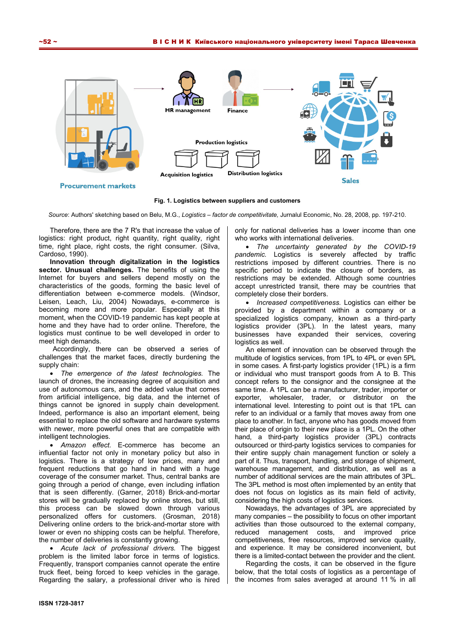

**Fig. 1. Logistics between suppliers and customers** 

*Source*: Authors' sketching based on Belu, M.G., *Logistics – factor de competitivitate,* Jurnalul Economic, No. 28, 2008, pp. 197-210.

Therefore, there are the 7 R's that increase the value of logistics: right product, right quantity, right quality, right time, right place, right costs, the right consumer. (Silva, Cardoso, 1990).

**Innovation through digitalization in the logistics sector. Unusual challenges.** The benefits of using the Internet for buyers and sellers depend mostly on the characteristics of the goods, forming the basic level of differentiation between e-commerce models. (Windsor, Leisen, Leach, Liu, 2004) Nowadays, e-commerce is becoming more and more popular. Especially at this moment, when the COVID-19 pandemic has kept people at home and they have had to order online. Therefore, the logistics must continue to be well developed in order to meet high demands.

Accordingly, there can be observed a series of challenges that the market faces, directly burdening the supply chain:

• *The emergence of the latest technologies.* The launch of drones, the increasing degree of acquisition and use of autonomous cars, and the added value that comes from artificial intelligence, big data, and the internet of things cannot be ignored in supply chain development. Indeed, performance is also an important element, being essential to replace the old software and hardware systems with newer, more powerful ones that are compatible with intelligent technologies.

• *Amazon effect.* E-commerce has become an influential factor not only in monetary policy but also in logistics. There is a strategy of low prices, many and frequent reductions that go hand in hand with a huge coverage of the consumer market. Thus, central banks are going through a period of change, even including inflation that is seen differently. (Garner, 2018) Brick-and-mortar stores will be gradually replaced by online stores, but still, this process can be slowed down through various personalized offers for customers. (Grosman, 2018) Delivering online orders to the brick-and-mortar store with lower or even no shipping costs can be helpful. Therefore, the number of deliveries is constantly growing.

• *Acute lack of professional drivers.* The biggest problem is the limited labor force in terms of logistics. Frequently, transport companies cannot operate the entire truck fleet, being forced to keep vehicles in the garage. Regarding the salary, a professional driver who is hired

only for national deliveries has a lower income than one who works with international deliveries.

• *The uncertainty generated by the COVID-19 pandemic.* Logistics is severely affected by traffic restrictions imposed by different countries. There is no specific period to indicate the closure of borders, as restrictions may be extended. Although some countries accept unrestricted transit, there may be countries that completely close their borders.

• *Increased competitiveness.* Logistics can either be provided by a department within a company or a specialized logistics company, known as a third-party logistics provider (3PL). In the latest years, many businesses have expanded their services, covering logistics as well.

An element of innovation can be observed through the multitude of logistics services, from 1PL to 4PL or even 5PL in some cases. A first-party logistics provider (1PL) is a firm or individual who must transport goods from A to B. This concept refers to the consignor and the consignee at the same time. A 1PL can be a manufacturer, trader, importer or exporter, wholesaler, trader, or distributor on the international level. Interesting to point out is that 1PL can refer to an individual or a family that moves away from one place to another. In fact, anyone who has goods moved from their place of origin to their new place is a 1PL. On the other hand, a third-party logistics provider (3PL) contracts outsourced or third-party logistics services to companies for their entire supply chain management function or solely a part of it. Thus, transport, handling, and storage of shipment, warehouse management, and distribution, as well as a number of additional services are the main attributes of 3PL. The 3PL method is most often implemented by an entity that does not focus on logistics as its main field of activity, considering the high costs of logistics services.

Nowadays, the advantages of 3PL are appreciated by many companies – the possibility to focus on other important activities than those outsourced to the external company, reduced management costs, and improved price competitiveness, free resources, improved service quality, and experience. It may be considered inconvenient, but there is a limited-contact between the provider and the client.

Regarding the costs, it can be observed in the figure below, that the total costs of logistics as a percentage of the incomes from sales averaged at around 11 % in all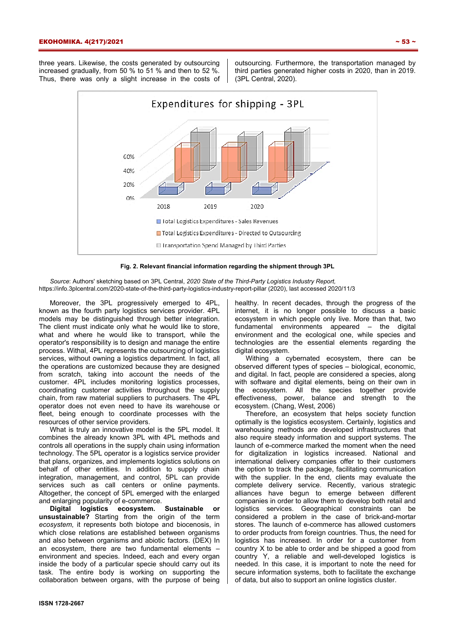three years. Likewise, the costs generated by outsourcing increased gradually, from 50 % to 51 % and then to 52 %. Thus, there was only a slight increase in the costs of

outsourcing. Furthermore, the transportation managed by third parties generated higher costs in 2020, than in 2019. (3PL Central, 2020).



### **Fig. 2. Relevant financial information regarding the shipment through 3PL**

*Source*: Authors' sketching based on 3PL Central, *2020 State of the Third-Party Logistics Industry Report,* https://info.3plcentral.com/2020-state-of-the-third-party-logistics-industry-report-pillar (2020), last accessed 2020/11/3

Moreover, the 3PL progressively emerged to 4PL, known as the fourth party logistics services provider. 4PL models may be distinguished through better integration. The client must indicate only what he would like to store, what and where he would like to transport, while the operator's responsibility is to design and manage the entire process. Withal, 4PL represents the outsourcing of logistics services, without owning a logistics department. In fact, all the operations are customized because they are designed from scratch, taking into account the needs of the customer. 4PL includes monitoring logistics processes, coordinating customer activities throughout the supply chain, from raw material suppliers to purchasers. The 4PL operator does not even need to have its warehouse or fleet, being enough to coordinate processes with the resources of other service providers.

What is truly an innovative model is the 5PL model. It combines the already known 3PL with 4PL methods and controls all operations in the supply chain using information technology. The 5PL operator is a logistics service provider that plans, organizes, and implements logistics solutions on behalf of other entities. In addition to supply chain integration, management, and control, 5PL can provide services such as call centers or online payments. Altogether, the concept of 5PL emerged with the enlarged and enlarging popularity of e-commerce.

**Digital logistics ecosystem. Sustainable or unsustainable?** Starting from the origin of the term *ecosystem*, it represents both biotope and biocenosis, in which close relations are established between organisms and also between organisms and abiotic factors. (DEX) In an ecosystem, there are two fundamental elements – environment and species. Indeed, each and every organ inside the body of a particular specie should carry out its task. The entire body is working on supporting the collaboration between organs, with the purpose of being healthy. In recent decades, through the progress of the internet, it is no longer possible to discuss a basic ecosystem in which people only live. More than that, two fundamental environments appeared – the digital environment and the ecological one, while species and technologies are the essential elements regarding the digital ecosystem.

Withing a cybernated ecosystem, there can be observed different types of species – biological, economic, and digital. In fact, people are considered a species, along with software and digital elements, being on their own in the ecosystem. All the species together provide effectiveness, power, balance and strength to the ecosystem. (Chang, West, 2006)

Therefore, an ecosystem that helps society function optimally is the logistics ecosystem. Certainly, logistics and warehousing methods are developed infrastructures that also require steady information and support systems. The launch of e-commerce marked the moment when the need for digitalization in logistics increased. National and international delivery companies offer to their customers the option to track the package, facilitating communication with the supplier. In the end, clients may evaluate the complete delivery service. Recently, various strategic alliances have begun to emerge between different companies in order to allow them to develop both retail and logistics services. Geographical constraints can be considered a problem in the case of brick-and-mortar stores. The launch of e-commerce has allowed customers to order products from foreign countries. Thus, the need for logistics has increased. In order for a customer from country X to be able to order and be shipped a good from country Y, a reliable and well-developed logistics is needed. In this case, it is important to note the need for secure information systems, both to facilitate the exchange of data, but also to support an online logistics cluster.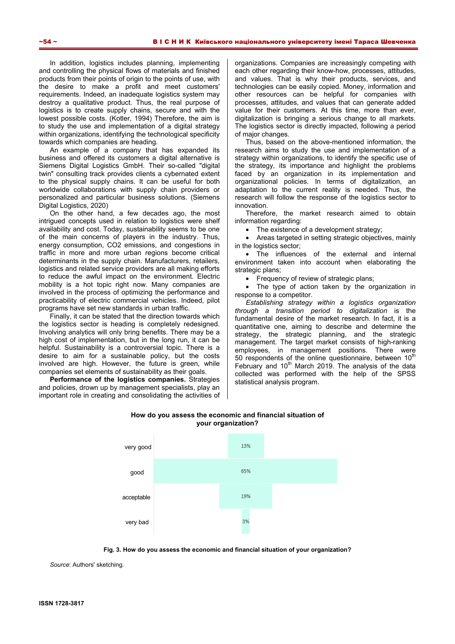In addition, logistics includes planning, implementing and controlling the physical flows of materials and finished products from their points of origin to the points of use, with the desire to make a profit and meet customers' requirements. Indeed, an inadequate logistics system may destroy a qualitative product. Thus, the real purpose of logistics is to create supply chains, secure and with the lowest possible costs. (Kotler, 1994) Therefore, the aim is to study the use and implementation of a digital strategy within organizations, identifying the technological specificity towards which companies are heading.

An example of a company that has expanded its business and offered its customers a digital alternative is Siemens Digital Logistics GmbH. Their so-called "digital twin" consulting track provides clients a cybernated extent to the physical supply chains. It can be useful for both worldwide collaborations with supply chain providers or personalized and particular business solutions. (Siemens Digital Logistics, 2020)

On the other hand, a few decades ago, the most intrigued concepts used in relation to logistics were shelf availability and cost. Today, sustainability seems to be one of the main concerns of players in the industry. Thus, energy consumption, CO2 emissions, and congestions in traffic in more and more urban regions become critical determinants in the supply chain. Manufacturers, retailers, logistics and related service providers are all making efforts to reduce the awful impact on the environment. Electric mobility is a hot topic right now. Many companies are involved in the process of optimizing the performance and practicability of electric commercial vehicles. Indeed, pilot programs have set new standards in urban traffic.

Finally, it can be stated that the direction towards which the logistics sector is heading is completely redesigned. Involving analytics will only bring benefits. There may be a high cost of implementation, but in the long run, it can be helpful. Sustainability is a controversial topic. There is a desire to aim for a sustainable policy, but the costs involved are high. However, the future is green, while companies set elements of sustainability as their goals.

**Performance of the logistics companies.** Strategies and policies, drown up by management specialists, play an important role in creating and consolidating the activities of organizations. Companies are increasingly competing with each other regarding their know-how, processes, attitudes, and values. That is why their products, services, and technologies can be easily copied. Money, information and other resources can be helpful for companies with processes, attitudes, and values that can generate added value for their customers. At this time, more than ever, digitalization is bringing a serious change to all markets. The logistics sector is directly impacted, following a period of major changes.

Thus, based on the above-mentioned information, the research aims to study the use and implementation of a strategy within organizations, to identify the specific use of the strategy, its importance and highlight the problems faced by an organization in its implementation and organizational policies. In terms of digitalization, an adaptation to the current reality is needed. Thus, the research will follow the response of the logistics sector to innovation.

Therefore, the market research aimed to obtain information regarding:

• The existence of a development strategy;

• Areas targeted in setting strategic objectives, mainly in the logistics sector;

• The influences of the external and internal environment taken into account when elaborating the strategic plans;

• Frequency of review of strategic plans;

• The type of action taken by the organization in response to a competitor.

*Establishing strategy within a logistics organization through a transition period to digitalization* is the fundamental desire of the market research. In fact, it is a quantitative one, aiming to describe and determine the strategy, the strategic planning, and the strategic management. The target market consists of high-ranking employees, in management positions. There were 50 respondents of the online questionnaire, between  $10<sup>m</sup>$ February and  $10<sup>th</sup>$  March 2019. The analysis of the data collected was performed with the help of the SPSS statistical analysis program.



# **How do you assess the economic and financial situation of your organization?**

**Fig. 3. How do you assess the economic and financial situation of your organization?** 

*Source*: Authors' sketching.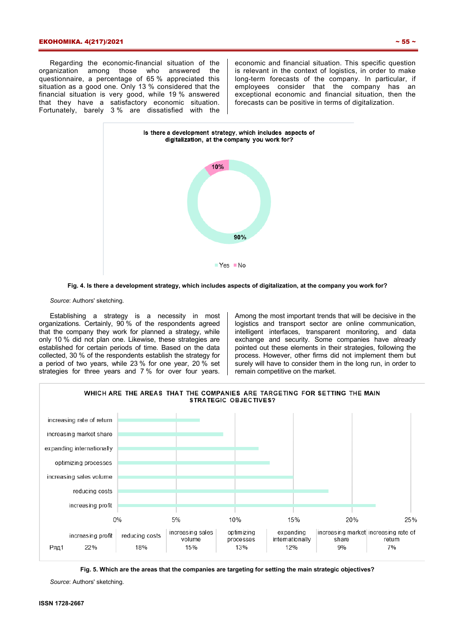## ЕКОНОМІКА. 4(217)/2021  $\sim$  55  $\sim$

Regarding the economic-financial situation of the organization among those who answered the questionnaire, a percentage of 65 % appreciated this situation as a good one. Only 13 % considered that the financial situation is very good, while 19 % answered that they have a satisfactory economic situation. Fortunately, barely 3 % are dissatisfied with the economic and financial situation. This specific question is relevant in the context of logistics, in order to make long-term forecasts of the company. In particular, if employees consider that the company has an exceptional economic and financial situation, then the forecasts can be positive in terms of digitalization.





*Source*: Authors' sketching.

Establishing a strategy is a necessity in most organizations. Certainly, 90 % of the respondents agreed that the company they work for planned a strategy, while only 10 % did not plan one. Likewise, these strategies are established for certain periods of time. Based on the data collected, 30 % of the respondents establish the strategy for a period of two years, while 23 % for one year, 20 % set strategies for three years and 7 % for over four years.

Among the most important trends that will be decisive in the logistics and transport sector are online communication, intelligent interfaces, transparent monitoring, and data exchange and security. Some companies have already pointed out these elements in their strategies, following the process. However, other firms did not implement them but surely will have to consider them in the long run, in order to remain competitive on the market.



**Fig. 5. Which are the areas that the companies are targeting for setting the main strategic objectives?** 

*Source*: Authors' sketching.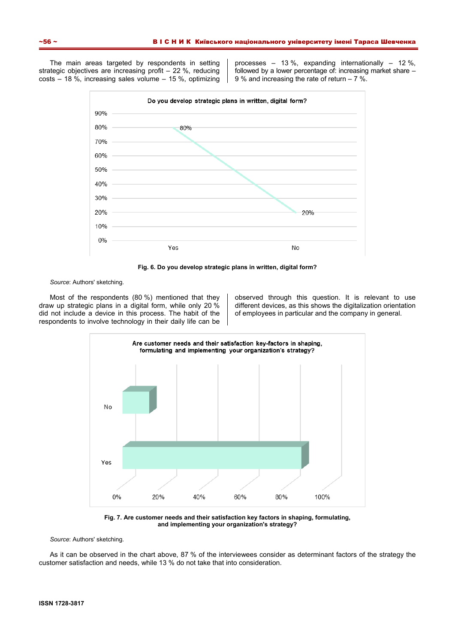The main areas targeted by respondents in setting strategic objectives are increasing profit – 22 %, reducing costs – 18 %, increasing sales volume – 15 %, optimizing

processes – 13 %, expanding internationally – 12 %, followed by a lower percentage of: increasing market share – 9 % and increasing the rate of return – 7 %.



**Fig. 6. Do you develop strategic plans in written, digital form?** 

*Source*: Authors' sketching.

Most of the respondents (80 %) mentioned that they draw up strategic plans in a digital form, while only 20 % did not include a device in this process. The habit of the respondents to involve technology in their daily life can be observed through this question. It is relevant to use different devices, as this shows the digitalization orientation of employees in particular and the company in general.



**Fig. 7. Are customer needs and their satisfaction key factors in shaping, formulating, and implementing your organization's strategy?** 

*Source*: Authors' sketching.

As it can be observed in the chart above, 87 % of the interviewees consider as determinant factors of the strategy the customer satisfaction and needs, while 13 % do not take that into consideration.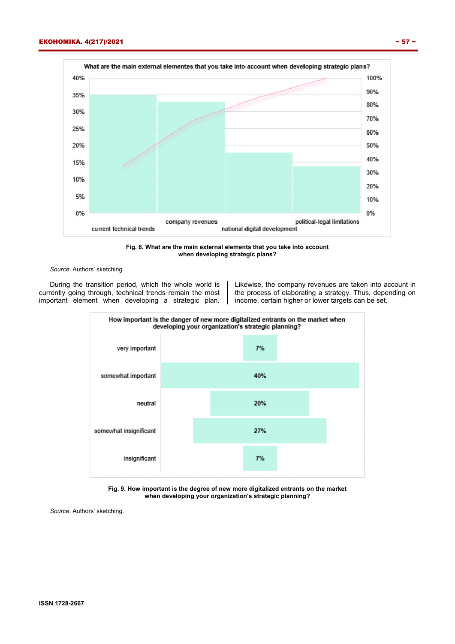40%

35%

30%

25%

20%

15%

10%

5%

0%







*Source*: Authors' sketching.

During the transition period, which the whole world is currently going through, technical trends remain the most important element when developing a strategic plan.

Likewise, the company revenues are taken into account in the process of elaborating a strategy. Thus, depending on income, certain higher or lower targets can be set.



**Fig. 9. How important is the degree of new more digitalized entrants on the market when developing your organization's strategic planning?** 

*Source*: Authors' sketching.

10%

0%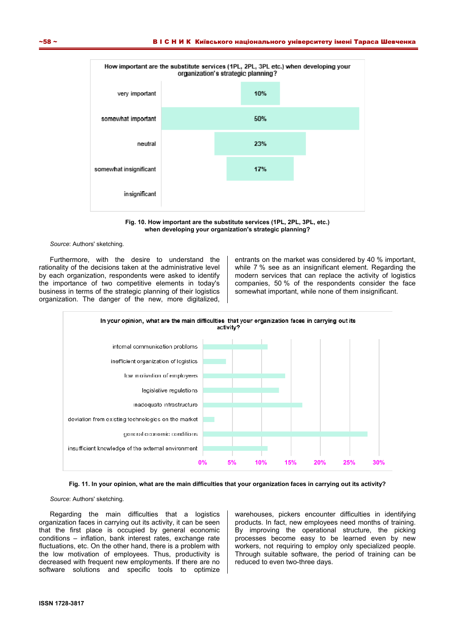

**Fig. 10. How important are the substitute services (1PL, 2PL, 3PL, etc.) when developing your organization's strategic planning?** 

#### *Source*: Authors' sketching.

Furthermore, with the desire to understand the rationality of the decisions taken at the administrative level by each organization, respondents were asked to identify the importance of two competitive elements in today's business in terms of the strategic planning of their logistics organization. The danger of the new, more digitalized,

entrants on the market was considered by 40 % important, while 7 % see as an insignificant element. Regarding the modern services that can replace the activity of logistics companies, 50 % of the respondents consider the face somewhat important, while none of them insignificant.



**Fig. 11. In your opinion, what are the main difficulties that your organization faces in carrying out its activity?** 

*Source*: Authors' sketching.

Regarding the main difficulties that a logistics organization faces in carrying out its activity, it can be seen that the first place is occupied by general economic conditions – inflation, bank interest rates, exchange rate fluctuations, etc. On the other hand, there is a problem with the low motivation of employees. Thus, productivity is decreased with frequent new employments. If there are no software solutions and specific tools to optimize warehouses, pickers encounter difficulties in identifying products. In fact, new employees need months of training. By improving the operational structure, the picking processes become easy to be learned even by new workers, not requiring to employ only specialized people. Through suitable software, the period of training can be reduced to even two-three days.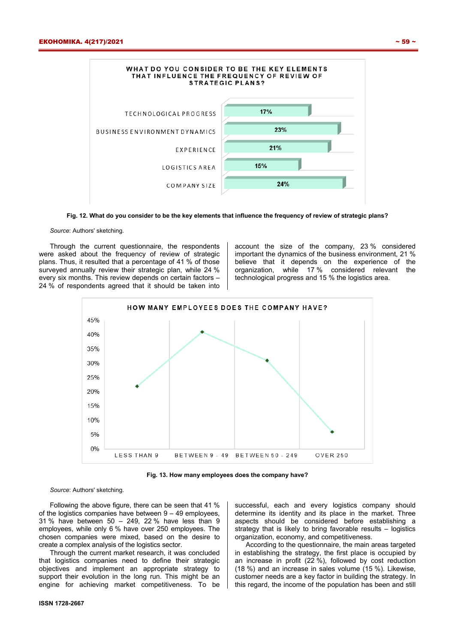

**Fig. 12. What do you consider to be the key elements that influence the frequency of review of strategic plans?** 

## *Source*: Authors' sketching.

Through the current questionnaire, the respondents were asked about the frequency of review of strategic plans. Thus, it resulted that a percentage of 41 % of those surveyed annually review their strategic plan, while 24 % every six months. This review depends on certain factors – 24 % of respondents agreed that it should be taken into account the size of the company, 23 % considered important the dynamics of the business environment, 21 % believe that it depends on the experience of the organization, while 17 % considered relevant the technological progress and 15 % the logistics area.



**Fig. 13. How many employees does the company have?** 

*Source*: Authors' sketching.

Following the above figure, there can be seen that 41 % of the logistics companies have between 9 – 49 employees, 31 % have between 50 – 249, 22 % have less than 9 employees, while only 6 % have over 250 employees. The chosen companies were mixed, based on the desire to create a complex analysis of the logistics sector.

Through the current market research, it was concluded that logistics companies need to define their strategic objectives and implement an appropriate strategy to support their evolution in the long run. This might be an engine for achieving market competitiveness. To be successful, each and every logistics company should determine its identity and its place in the market. Three aspects should be considered before establishing a strategy that is likely to bring favorable results – logistics organization, economy, and competitiveness.

According to the questionnaire, the main areas targeted in establishing the strategy, the first place is occupied by an increase in profit (22 %), followed by cost reduction (18 %) and an increase in sales volume (15 %). Likewise, customer needs are a key factor in building the strategy. In this regard, the income of the population has been and still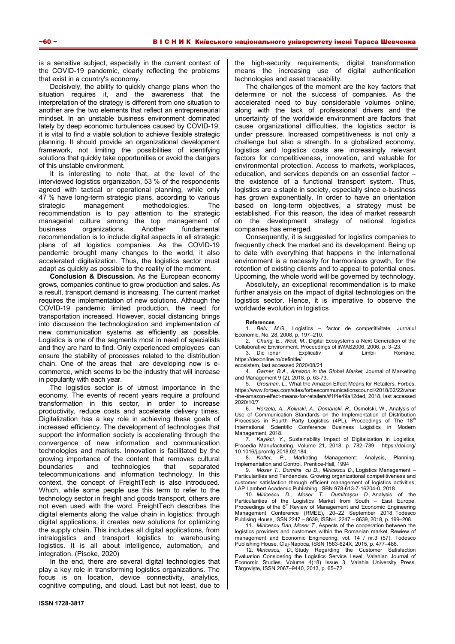is a sensitive subject, especially in the current context of the COVID-19 pandemic, clearly reflecting the problems that exist in a country's economy.

Decisively, the ability to quickly change plans when the situation requires it, and the awareness that the interpretation of the strategy is different from one situation to another are the two elements that reflect an entrepreneurial mindset. In an unstable business environment dominated lately by deep economic turbulences caused by COVID-19, it is vital to find a viable solution to achieve flexible strategic planning. It should provide an organizational development framework, not limiting the possibilities of identifying solutions that quickly take opportunities or avoid the dangers of this unstable environment.

It is interesting to note that, at the level of the interviewed logistics organization, 53 % of the respondents agreed with tactical or operational planning, while only 47 % have long-term strategic plans, according to various strategic management methodologies. The recommendation is to pay attention to the strategic managerial culture among the top management of business organizations. Another fundamental recommendation is to include digital aspects in all strategic plans of all logistics companies. As the COVID-19 pandemic brought many changes to the world, it also accelerated digitalization. Thus, the logistics sector must adapt as quickly as possible to the reality of the moment.

**Conclusion & Discussion.** As the European economy grows, companies continue to grow production and sales. As a result, transport demand is increasing. The current market requires the implementation of new solutions. Although the COVID-19 pandemic limited production, the need for transportation increased. However, social distancing brings into discussion the technologization and implementation of new communication systems as efficiently as possible. Logistics is one of the segments most in need of specialists and they are hard to find. Only experienced employees can ensure the stability of processes related to the distribution chain. One of the areas that are developing now is ecommerce, which seems to be the industry that will increase in popularity with each year.

The logistics sector is of utmost importance in the economy. The events of recent years require a profound transformation in this sector, in order to increase productivity, reduce costs and accelerate delivery times. Digitalization has a key role in achieving these goals of increased efficiency. The development of technologies that support the information society is accelerating through the convergence of new information and communication technologies and markets. Innovation is facilitated by the growing importance of the content that removes cultural boundaries and technologies that separated telecommunications and information technology. In this context, the concept of FreightTech is also introduced. Which, while some people use this term to refer to the technology sector in freight and goods transport, others are not even used with the word. FreightTech describes the digital elements along the value chain in logistics: through digital applications, it creates new solutions for optimizing the supply chain. This includes all digital applications, from intralogistics and transport logistics to warehousing logistics. It is all about intelligence, automation, and integration. (Pisoke, 2020)

In the end, there are several digital technologies that play a key role in transforming logistics organizations. The focus is on location, device connectivity, analytics, cognitive computing, and cloud. Last but not least, due to the high-security requirements, digital transformation means the increasing use of digital authentication technologies and asset traceability.

The challenges of the moment are the key factors that determine or not the success of companies. As the accelerated need to buy considerable volumes online, along with the lack of professional drivers and the uncertainty of the worldwide environment are factors that cause organizational difficulties, the logistics sector is under pressure. Increased competitiveness is not only a challenge but also a strength. In a globalized economy, logistics and logistics costs are increasingly relevant factors for competitiveness, innovation, and valuable for environmental protection. Access to markets, workplaces, education, and services depends on an essential factor – the existence of a functional transport system. Thus, logistics are a staple in society, especially since e-business has grown exponentially. In order to have an orientation based on long-term objectives, a strategy must be established. For this reason, the idea of market research on the development strategy of national logistics companies has emerged.

Consequently, it is suggested for logistics companies to frequently check the market and its development. Being up to date with everything that happens in the international environment is a necessity for harmonious growth, for the retention of existing clients and to appeal to potential ones. Upcoming, the whole world will be governed by technology.

Absolutely, an exceptional recommendation is to make further analysis on the impact of digital technologies on the logistics sector. Hence, it is imperative to observe the worldwide evolution in logistics

#### **References**

1. *Belu, M.G.*, Logistics – factor de competitivitate*,* Jurnalul Economic, No. 28, 2008, p. 197–210.

2. *Chang, E., West, M.*, Digital Ecosystems a Next Generation of the Collaborative Environment*,* Proceedings of iiWAS2006, 2006, p. 3–23.

3. Dicionar Explicativ al Limbii Române, https://dexonline.ro/definitie/

ecosistem, last accessed 2020/08/21

4. *Garner, B.A.*, *Amazon in the Global Market,* Journal of Marketing and Management 9 (2), 2018, p. 63-73.

5. *Grosman, L.*, What the Amazon Effect Means for Retailers*,* Forbes, https://www.forbes.com/sites/forbescommunicationscouncil/2018/02/22/what -the-amazon-effect-means-for-retailers/#1f4e49a12ded, 2018, last accessed 2020/10/7

6. *Horzela, A., Kolinski, A., Domanski, R.,* Osmolski, W., Analysis of Use of Communication Standards on the Implementation of Distribution Processes in Fourth Party Logistics (4PL), Proceedings of The 18<sup>th</sup> International Scientific Conference Business Logistics in Modern Management, 2018.

7. *Kayikci, Y.*, Sustainability Impact of Digitalization in Logistics*,*  Procedia Manufacturing, Volume 21, 2018, p. 782–789, https://doi.org/ 10.1016/j.promfg.2018.02.184.

8. *Kotler, P*., Marketing Management: Analysis, Planning, Implementation and Control*,* Prentice-Hall, 1994

9. Moser T., Dumitra cu D., Miricescu D., Logistics Management -Particularities and Tendencies. Growing organizational competitiveness and customer satisfaction through efficient management of logistics activities, LAP Lambert Academic Publishing, ISBN 978-613-7-16204-0, 2018.

10. *Miricescu D., Moser T., Dumitraşcu D.,* Analysis of the Particularities of the Logistics Market from South – East Europe,<br>Proceedings of the 6<sup>th</sup> Review of Management and Economic Engineering Management Conference (RMEE), 20–22 September 2018, Todesco Publising House, ISSN 2247 – 8639, ISSN-L 2247 – 8639, 2018, p. 199–208.

11. *Miricescu Dan, Moser T.*, Aspects of the cooperation between the logistics providers and customers within the Romanian market*,* Rewiew of management and Economic Engineering, vol. 14 / nr.3 (57), Todesco Publishing House, Cluj-Napoca, ISSN 1583-624X, 2015, p. 477–488.

12. *Miricescu, D*., Study Regarding the Customer Satisfaction Evaluation Considering the Logistics Service Level, Valahian Journal of Economic Studies, Volume 4(18) Issue 3, Valahia University Press, Târgovişte, ISSN 2067–9440, 2013, p. 65–72.